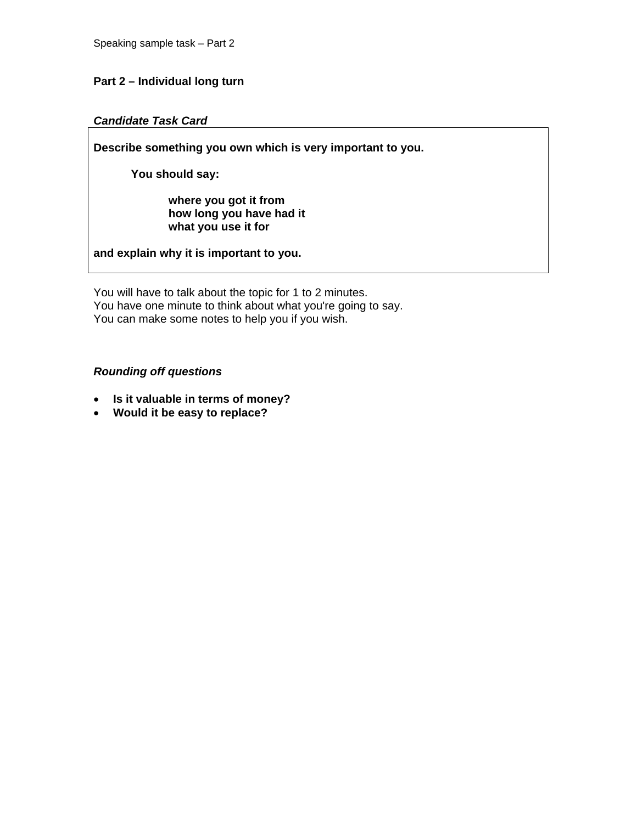## **Part 2 – Individual long turn**

#### *Candidate Task Card*

**Describe something you own which is very important to you.** 

 **You should say:** 

 **where you got it from how long you have had it what you use it for** 

**and explain why it is important to you.** 

You will have to talk about the topic for 1 to 2 minutes. You have one minute to think about what you're going to say. You can make some notes to help you if you wish.

## *Rounding off questions*

- **Is it valuable in terms of money?**
- **Would it be easy to replace?**